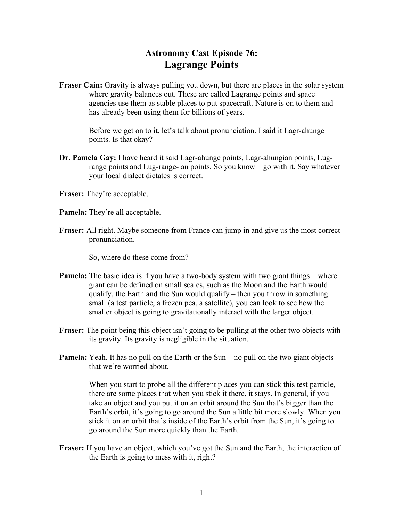## **Astronomy Cast Episode 76: Lagrange Points**

**Fraser Cain:** Gravity is always pulling you down, but there are places in the solar system where gravity balances out. These are called Lagrange points and space agencies use them as stable places to put spacecraft. Nature is on to them and has already been using them for billions of years.

> Before we get on to it, let's talk about pronunciation. I said it Lagr-ahunge points. Is that okay?

- **Dr. Pamela Gay:** I have heard it said Lagr-ahunge points, Lagr-ahungian points, Lugrange points and Lug-range-ian points. So you know – go with it. Say whatever your local dialect dictates is correct.
- **Fraser:** They're acceptable.
- **Pamela:** They're all acceptable.
- **Fraser:** All right. Maybe someone from France can jump in and give us the most correct pronunciation.

So, where do these come from?

- **Pamela:** The basic idea is if you have a two-body system with two giant things where giant can be defined on small scales, such as the Moon and the Earth would qualify, the Earth and the Sun would qualify – then you throw in something small (a test particle, a frozen pea, a satellite), you can look to see how the smaller object is going to gravitationally interact with the larger object.
- **Fraser:** The point being this object isn't going to be pulling at the other two objects with its gravity. Its gravity is negligible in the situation.
- **Pamela:** Yeah. It has no pull on the Earth or the Sun no pull on the two giant objects that we're worried about.

When you start to probe all the different places you can stick this test particle, there are some places that when you stick it there, it stays. In general, if you take an object and you put it on an orbit around the Sun that's bigger than the Earth's orbit, it's going to go around the Sun a little bit more slowly. When you stick it on an orbit that's inside of the Earth's orbit from the Sun, it's going to go around the Sun more quickly than the Earth.

**Fraser:** If you have an object, which you've got the Sun and the Earth, the interaction of the Earth is going to mess with it, right?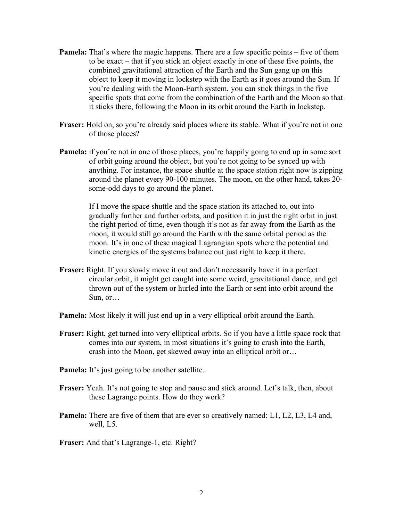- **Pamela:** That's where the magic happens. There are a few specific points five of them to be exact – that if you stick an object exactly in one of these five points, the combined gravitational attraction of the Earth and the Sun gang up on this object to keep it moving in lockstep with the Earth as it goes around the Sun. If you're dealing with the Moon-Earth system, you can stick things in the five specific spots that come from the combination of the Earth and the Moon so that it sticks there, following the Moon in its orbit around the Earth in lockstep.
- **Fraser:** Hold on, so you're already said places where its stable. What if you're not in one of those places?
- **Pamela:** if you're not in one of those places, you're happily going to end up in some sort of orbit going around the object, but you're not going to be synced up with anything. For instance, the space shuttle at the space station right now is zipping around the planet every 90-100 minutes. The moon, on the other hand, takes 20 some-odd days to go around the planet.

If I move the space shuttle and the space station its attached to, out into gradually further and further orbits, and position it in just the right orbit in just the right period of time, even though it's not as far away from the Earth as the moon, it would still go around the Earth with the same orbital period as the moon. It's in one of these magical Lagrangian spots where the potential and kinetic energies of the systems balance out just right to keep it there.

- **Fraser:** Right. If you slowly move it out and don't necessarily have it in a perfect circular orbit, it might get caught into some weird, gravitational dance, and get thrown out of the system or hurled into the Earth or sent into orbit around the Sun, or…
- **Pamela:** Most likely it will just end up in a very elliptical orbit around the Earth.
- **Fraser:** Right, get turned into very elliptical orbits. So if you have a little space rock that comes into our system, in most situations it's going to crash into the Earth, crash into the Moon, get skewed away into an elliptical orbit or…
- **Pamela:** It's just going to be another satellite.
- **Fraser:** Yeah. It's not going to stop and pause and stick around. Let's talk, then, about these Lagrange points. How do they work?
- **Pamela:** There are five of them that are ever so creatively named: L1, L2, L3, L4 and, well, L5.
- **Fraser:** And that's Lagrange-1, etc. Right?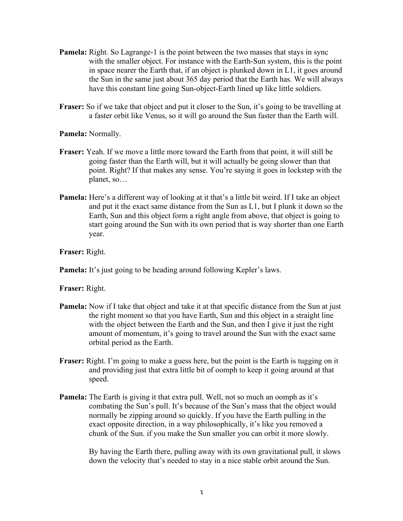- **Pamela:** Right. So Lagrange-1 is the point between the two masses that stays in sync with the smaller object. For instance with the Earth-Sun system, this is the point in space nearer the Earth that, if an object is plunked down in L1, it goes around the Sun in the same just about 365 day period that the Earth has. We will always have this constant line going Sun-object-Earth lined up like little soldiers.
- **Fraser:** So if we take that object and put it closer to the Sun, it's going to be travelling at a faster orbit like Venus, so it will go around the Sun faster than the Earth will.

**Pamela:** Normally.

- **Fraser:** Yeah. If we move a little more toward the Earth from that point, it will still be going faster than the Earth will, but it will actually be going slower than that point. Right? If that makes any sense. You're saying it goes in lockstep with the planet, so…
- **Pamela:** Here's a different way of looking at it that's a little bit weird. If I take an object and put it the exact same distance from the Sun as L1, but I plunk it down so the Earth, Sun and this object form a right angle from above, that object is going to start going around the Sun with its own period that is way shorter than one Earth year.

**Fraser:** Right.

**Pamela:** It's just going to be heading around following Kepler's laws.

**Fraser:** Right.

- **Pamela:** Now if I take that object and take it at that specific distance from the Sun at just the right moment so that you have Earth, Sun and this object in a straight line with the object between the Earth and the Sun, and then I give it just the right amount of momentum, it's going to travel around the Sun with the exact same orbital period as the Earth.
- **Fraser:** Right. I'm going to make a guess here, but the point is the Earth is tugging on it and providing just that extra little bit of oomph to keep it going around at that speed.
- **Pamela:** The Earth is giving it that extra pull. Well, not so much an oomph as it's combating the Sun's pull. It's because of the Sun's mass that the object would normally be zipping around so quickly. If you have the Earth pulling in the exact opposite direction, in a way philosophically, it's like you removed a chunk of the Sun. if you make the Sun smaller you can orbit it more slowly.

By having the Earth there, pulling away with its own gravitational pull, it slows down the velocity that's needed to stay in a nice stable orbit around the Sun.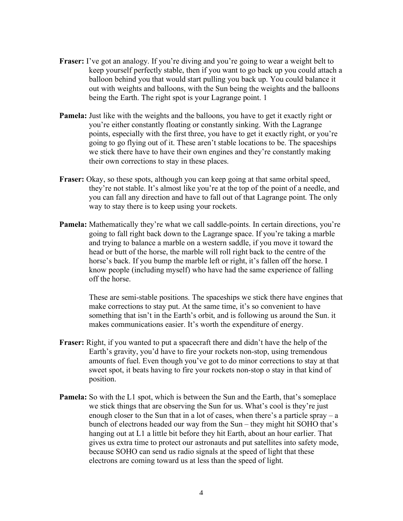- **Fraser:** I've got an analogy. If you're diving and you're going to wear a weight belt to keep yourself perfectly stable, then if you want to go back up you could attach a balloon behind you that would start pulling you back up. You could balance it out with weights and balloons, with the Sun being the weights and the balloons being the Earth. The right spot is your Lagrange point. 1
- **Pamela:** Just like with the weights and the balloons, you have to get it exactly right or you're either constantly floating or constantly sinking. With the Lagrange points, especially with the first three, you have to get it exactly right, or you're going to go flying out of it. These aren't stable locations to be. The spaceships we stick there have to have their own engines and they're constantly making their own corrections to stay in these places.
- **Fraser:** Okay, so these spots, although you can keep going at that same orbital speed, they're not stable. It's almost like you're at the top of the point of a needle, and you can fall any direction and have to fall out of that Lagrange point. The only way to stay there is to keep using your rockets.
- **Pamela:** Mathematically they're what we call saddle-points. In certain directions, you're going to fall right back down to the Lagrange space. If you're taking a marble and trying to balance a marble on a western saddle, if you move it toward the head or butt of the horse, the marble will roll right back to the centre of the horse's back. If you bump the marble left or right, it's fallen off the horse. I know people (including myself) who have had the same experience of falling off the horse.

These are semi-stable positions. The spaceships we stick there have engines that make corrections to stay put. At the same time, it's so convenient to have something that isn't in the Earth's orbit, and is following us around the Sun. it makes communications easier. It's worth the expenditure of energy.

- **Fraser:** Right, if you wanted to put a spacecraft there and didn't have the help of the Earth's gravity, you'd have to fire your rockets non-stop, using tremendous amounts of fuel. Even though you've got to do minor corrections to stay at that sweet spot, it beats having to fire your rockets non-stop o stay in that kind of position.
- **Pamela:** So with the L1 spot, which is between the Sun and the Earth, that's someplace we stick things that are observing the Sun for us. What's cool is they're just enough closer to the Sun that in a lot of cases, when there's a particle spray – a bunch of electrons headed our way from the Sun – they might hit SOHO that's hanging out at L1 a little bit before they hit Earth, about an hour earlier. That gives us extra time to protect our astronauts and put satellites into safety mode, because SOHO can send us radio signals at the speed of light that these electrons are coming toward us at less than the speed of light.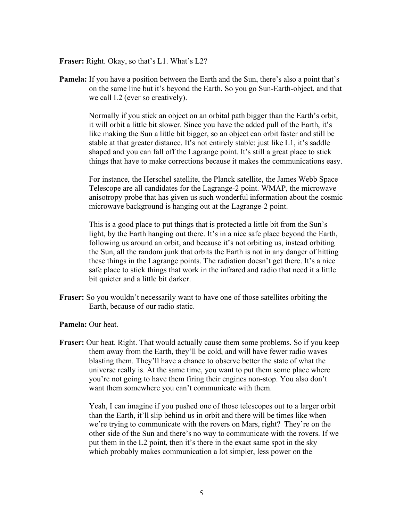**Fraser:** Right. Okay, so that's L1. What's L2?

**Pamela:** If you have a position between the Earth and the Sun, there's also a point that's on the same line but it's beyond the Earth. So you go Sun-Earth-object, and that we call L2 (ever so creatively).

> Normally if you stick an object on an orbital path bigger than the Earth's orbit, it will orbit a little bit slower. Since you have the added pull of the Earth, it's like making the Sun a little bit bigger, so an object can orbit faster and still be stable at that greater distance. It's not entirely stable: just like L1, it's saddle shaped and you can fall off the Lagrange point. It's still a great place to stick things that have to make corrections because it makes the communications easy.

> For instance, the Herschel satellite, the Planck satellite, the James Webb Space Telescope are all candidates for the Lagrange-2 point. WMAP, the microwave anisotropy probe that has given us such wonderful information about the cosmic microwave background is hanging out at the Lagrange-2 point.

This is a good place to put things that is protected a little bit from the Sun's light, by the Earth hanging out there. It's in a nice safe place beyond the Earth, following us around an orbit, and because it's not orbiting us, instead orbiting the Sun, all the random junk that orbits the Earth is not in any danger of hitting these things in the Lagrange points. The radiation doesn't get there. It's a nice safe place to stick things that work in the infrared and radio that need it a little bit quieter and a little bit darker.

**Fraser:** So you wouldn't necessarily want to have one of those satellites orbiting the Earth, because of our radio static.

**Pamela:** Our heat.

**Fraser:** Our heat. Right. That would actually cause them some problems. So if you keep them away from the Earth, they'll be cold, and will have fewer radio waves blasting them. They'll have a chance to observe better the state of what the universe really is. At the same time, you want to put them some place where you're not going to have them firing their engines non-stop. You also don't want them somewhere you can't communicate with them.

> Yeah, I can imagine if you pushed one of those telescopes out to a larger orbit than the Earth, it'll slip behind us in orbit and there will be times like when we're trying to communicate with the rovers on Mars, right? They're on the other side of the Sun and there's no way to communicate with the rovers. If we put them in the L2 point, then it's there in the exact same spot in the sky – which probably makes communication a lot simpler, less power on the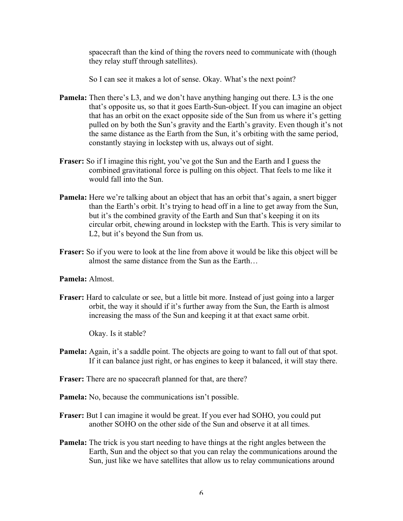spacecraft than the kind of thing the rovers need to communicate with (though they relay stuff through satellites).

So I can see it makes a lot of sense. Okay. What's the next point?

- **Pamela:** Then there's L3, and we don't have anything hanging out there. L3 is the one that's opposite us, so that it goes Earth-Sun-object. If you can imagine an object that has an orbit on the exact opposite side of the Sun from us where it's getting pulled on by both the Sun's gravity and the Earth's gravity. Even though it's not the same distance as the Earth from the Sun, it's orbiting with the same period, constantly staying in lockstep with us, always out of sight.
- **Fraser:** So if I imagine this right, you've got the Sun and the Earth and I guess the combined gravitational force is pulling on this object. That feels to me like it would fall into the Sun.
- **Pamela:** Here we're talking about an object that has an orbit that's again, a snert bigger than the Earth's orbit. It's trying to head off in a line to get away from the Sun, but it's the combined gravity of the Earth and Sun that's keeping it on its circular orbit, chewing around in lockstep with the Earth. This is very similar to L2, but it's beyond the Sun from us.
- **Fraser:** So if you were to look at the line from above it would be like this object will be almost the same distance from the Sun as the Earth…

## **Pamela:** Almost.

**Fraser:** Hard to calculate or see, but a little bit more. Instead of just going into a larger orbit, the way it should if it's further away from the Sun, the Earth is almost increasing the mass of the Sun and keeping it at that exact same orbit.

Okay. Is it stable?

- **Pamela:** Again, it's a saddle point. The objects are going to want to fall out of that spot. If it can balance just right, or has engines to keep it balanced, it will stay there.
- **Fraser:** There are no spacecraft planned for that, are there?
- **Pamela:** No, because the communications isn't possible.
- **Fraser:** But I can imagine it would be great. If you ever had SOHO, you could put another SOHO on the other side of the Sun and observe it at all times.
- **Pamela:** The trick is you start needing to have things at the right angles between the Earth, Sun and the object so that you can relay the communications around the Sun, just like we have satellites that allow us to relay communications around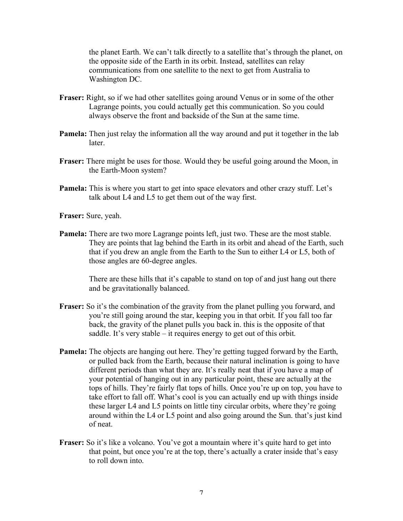the planet Earth. We can't talk directly to a satellite that's through the planet, on the opposite side of the Earth in its orbit. Instead, satellites can relay communications from one satellite to the next to get from Australia to Washington DC.

- **Fraser:** Right, so if we had other satellites going around Venus or in some of the other Lagrange points, you could actually get this communication. So you could always observe the front and backside of the Sun at the same time.
- **Pamela:** Then just relay the information all the way around and put it together in the lab **later**
- **Fraser:** There might be uses for those. Would they be useful going around the Moon, in the Earth-Moon system?
- **Pamela:** This is where you start to get into space elevators and other crazy stuff. Let's talk about L4 and L5 to get them out of the way first.

**Fraser:** Sure, yeah.

**Pamela:** There are two more Lagrange points left, just two. These are the most stable. They are points that lag behind the Earth in its orbit and ahead of the Earth, such that if you drew an angle from the Earth to the Sun to either L4 or L5, both of those angles are 60-degree angles.

> There are these hills that it's capable to stand on top of and just hang out there and be gravitationally balanced.

- **Fraser:** So it's the combination of the gravity from the planet pulling you forward, and you're still going around the star, keeping you in that orbit. If you fall too far back, the gravity of the planet pulls you back in. this is the opposite of that saddle. It's very stable – it requires energy to get out of this orbit.
- **Pamela:** The objects are hanging out here. They're getting tugged forward by the Earth, or pulled back from the Earth, because their natural inclination is going to have different periods than what they are. It's really neat that if you have a map of your potential of hanging out in any particular point, these are actually at the tops of hills. They're fairly flat tops of hills. Once you're up on top, you have to take effort to fall off. What's cool is you can actually end up with things inside these larger L4 and L5 points on little tiny circular orbits, where they're going around within the L4 or L5 point and also going around the Sun. that's just kind of neat.
- **Fraser:** So it's like a volcano. You've got a mountain where it's quite hard to get into that point, but once you're at the top, there's actually a crater inside that's easy to roll down into.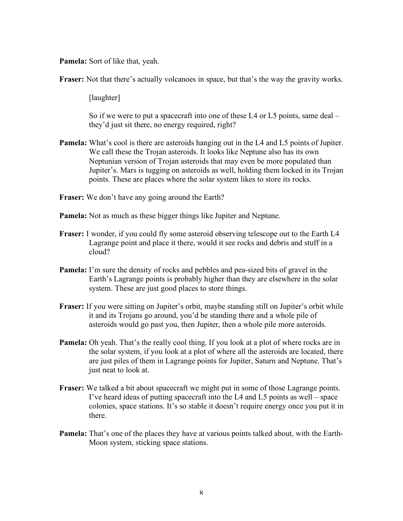**Pamela:** Sort of like that, yeah.

**Fraser:** Not that there's actually volcanoes in space, but that's the way the gravity works.

[laughter]

So if we were to put a spacecraft into one of these L4 or L5 points, same deal – they'd just sit there, no energy required, right?

- **Pamela:** What's cool is there are asteroids hanging out in the L4 and L5 points of Jupiter. We call these the Trojan asteroids. It looks like Neptune also has its own Neptunian version of Trojan asteroids that may even be more populated than Jupiter's. Mars is tugging on asteroids as well, holding them locked in its Trojan points. These are places where the solar system likes to store its rocks.
- **Fraser:** We don't have any going around the Earth?
- **Pamela:** Not as much as these bigger things like Jupiter and Neptune.
- **Fraser:** I wonder, if you could fly some asteroid observing telescope out to the Earth L4 Lagrange point and place it there, would it see rocks and debris and stuff in a cloud?
- **Pamela:** I'm sure the density of rocks and pebbles and pea-sized bits of gravel in the Earth's Lagrange points is probably higher than they are elsewhere in the solar system. These are just good places to store things.
- **Fraser:** If you were sitting on Jupiter's orbit, maybe standing still on Jupiter's orbit while it and its Trojans go around, you'd be standing there and a whole pile of asteroids would go past you, then Jupiter, then a whole pile more asteroids.
- **Pamela:** Oh yeah. That's the really cool thing. If you look at a plot of where rocks are in the solar system, if you look at a plot of where all the asteroids are located, there are just piles of them in Lagrange points for Jupiter, Saturn and Neptune. That's just neat to look at.
- **Fraser:** We talked a bit about spacecraft we might put in some of those Lagrange points. I've heard ideas of putting spacecraft into the L4 and L5 points as well – space colonies, space stations. It's so stable it doesn't require energy once you put it in there.
- **Pamela:** That's one of the places they have at various points talked about, with the Earth-Moon system, sticking space stations.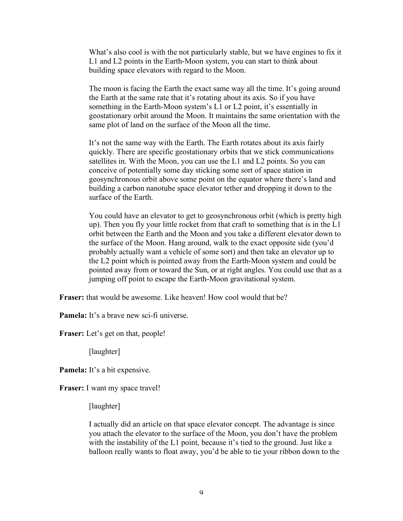What's also cool is with the not particularly stable, but we have engines to fix it L1 and L2 points in the Earth-Moon system, you can start to think about building space elevators with regard to the Moon.

The moon is facing the Earth the exact same way all the time. It's going around the Earth at the same rate that it's rotating about its axis. So if you have something in the Earth-Moon system's L1 or L2 point, it's essentially in geostationary orbit around the Moon. It maintains the same orientation with the same plot of land on the surface of the Moon all the time.

It's not the same way with the Earth. The Earth rotates about its axis fairly quickly. There are specific geostationary orbits that we stick communications satellites in. With the Moon, you can use the L1 and L2 points. So you can conceive of potentially some day sticking some sort of space station in geosynchronous orbit above some point on the equator where there's land and building a carbon nanotube space elevator tether and dropping it down to the surface of the Earth.

You could have an elevator to get to geosynchronous orbit (which is pretty high up). Then you fly your little rocket from that craft to something that is in the L1 orbit between the Earth and the Moon and you take a different elevator down to the surface of the Moon. Hang around, walk to the exact opposite side (you'd probably actually want a vehicle of some sort) and then take an elevator up to the L2 point which is pointed away from the Earth-Moon system and could be pointed away from or toward the Sun, or at right angles. You could use that as a jumping off point to escape the Earth-Moon gravitational system.

**Fraser:** that would be awesome. Like heaven! How cool would that be?

**Pamela:** It's a brave new sci-fi universe.

**Fraser:** Let's get on that, people!

[laughter]

**Pamela:** It's a bit expensive.

**Fraser:** I want my space travel!

[laughter]

I actually did an article on that space elevator concept. The advantage is since you attach the elevator to the surface of the Moon, you don't have the problem with the instability of the L1 point, because it's tied to the ground. Just like a balloon really wants to float away, you'd be able to tie your ribbon down to the